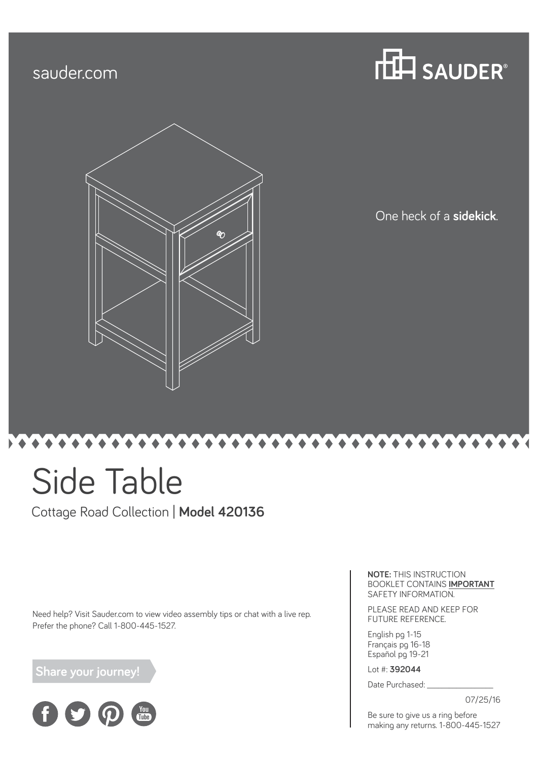### sauder.com





One heck of a **sidekick**.

# Side Table

Cottage Road Collection | **Model 420136**

Need help? Visit Sauder.com to view video assembly tips or chat with a live rep. Prefer the phone? Call 1-800-445-1527.

 **Share your journey!**



**NOTE:** THIS INSTRUCTION BOOKLET CONTAINS **IMPORTANT** SAFETY INFORMATION.

PLEASE READ AND KEEP FOR FUTURE REFERENCE.

English pg 1-15 Français pg 16-18 Español pg 19-21

Lot #: **392044**

Date Purchased:

07/25/16

Be sure to give us a ring before making any returns. 1-800-445-1527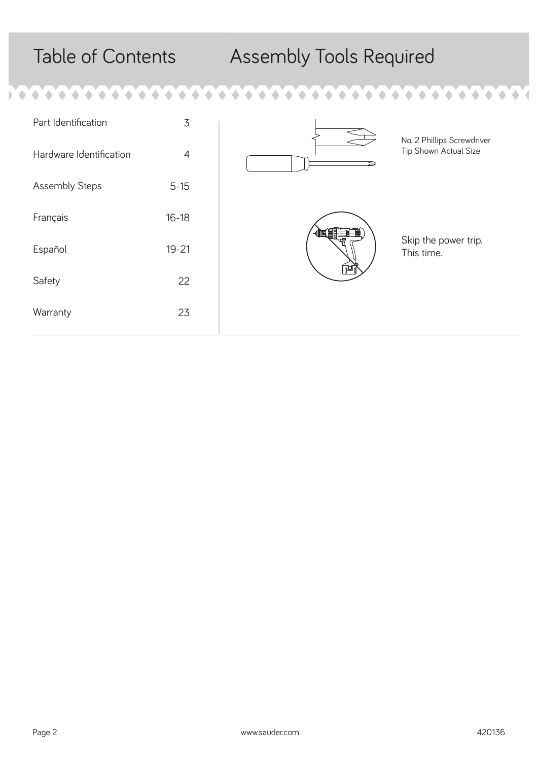۵ ۸

۰

Þ

۰

۵

## Table of Contents Assembly Tools Required



 $\triangle$  $\bullet$   $\triangle$  $\overline{\mathcal{A}}$ 

 $\triangle$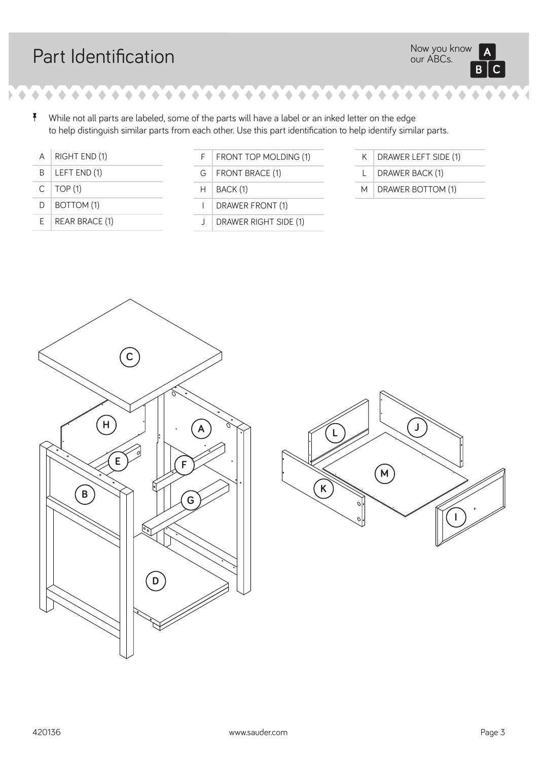## Part Identification

۰ ∢

 $\bullet$  , and all  $\bullet$  , and all  $\bullet$  , and all  $\bullet$  , and all  $\bullet$  , and all  $\bullet$  , and all  $\bullet$  $\bullet$  $\bullet$ 

 $\bullet$  $\bullet$ 

> <sup>7</sup> While not all parts are labeled, some of the parts will have a label or an inked letter on the edge to help distinguish similar parts from each other. Use this part identification to help identify similar parts.

| A  | RIGHT END (1)  |
|----|----------------|
| B. | LEFT END (1)   |
| C. | <b>TOP (1)</b> |
| D  | BOTTOM (1)     |
| F. | REAR BRACE (1) |

| F. | FRONT TOP MOLDING (1)        |
|----|------------------------------|
| G. | <b>FRONT BRACE (1)</b>       |
| H. | BACK (1)                     |
|    | DRAWER FRONT (1)             |
|    | <b>DRAWER RIGHT SIDE (1)</b> |

| $K$ DRAWER LEFT SIDE (1) |
|--------------------------|
|                          |

L DRAWER BACK (1)

**TO**  $\bullet$  $\triangle$ ۵

M DRAWER BOTTOM (1)



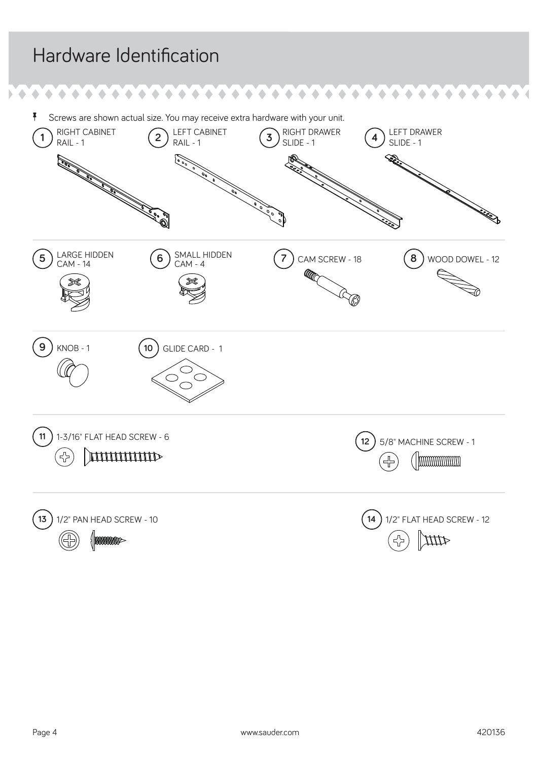#### Hardware Identification  $\bullet$  $\bullet$  $\bullet$  $\blacklozenge$  $\triangle$ ۸ ۵  $\bullet$  $\blacklozenge$ å Screws are shown actual size. You may receive extra hardware with your unit. RAIL -1 **2** LEFT CABINET<br>
RAIL -1 **3** SLIDE -1<br>
POST CABINET<br>
POST CABINET<br>
POST CABINET<br>
POST CABINET<br>
POST CABINET<br>
POST CABINET<br>
POST CABINET<br>
POST CABINET<br>
POST CABINET<br>
POST CABINET<br>
POST CABINET<br>
POST CABINET<br>
POST C RIGHT CABINET LEFT CABINET **4** SLIDE - 1  $\bigcap_{\text{RAIL }-1}$  RIGHT CABINET  $\bigcirc_{\text{RAIL }-1}$  LEFT DRAWER  $\bigcirc_{\text{SLIDE }-1}$  RAIL -1 SLIDE - 1 **3 Charles Comments** Nool **5** LARGE HIDDEN LARGE HIDDEN  $\begin{pmatrix} 6 \end{pmatrix}$  SMALL HIDDEN  $\begin{pmatrix} 7 \end{pmatrix}$  CAM SCREW - 18 AM SCREW - 18 **8** WOOD DOWEL - 12 **9** KNOB - 1 **10** GLIDE CARD - 1 **11** 1-3/16" FLAT HEAD SCREW - 6 **12 12** 5/8" MACHINE SCREW - 1 27<br>77 **THURROR**  $\overline{4}$ (Immummum **13** 1/2" PAN HEAD SCREW - 10 **14** 1/2" FLAT HEAD SCREW - 12 Шр ! hoogoogoogoog

 $\mathbf{r}$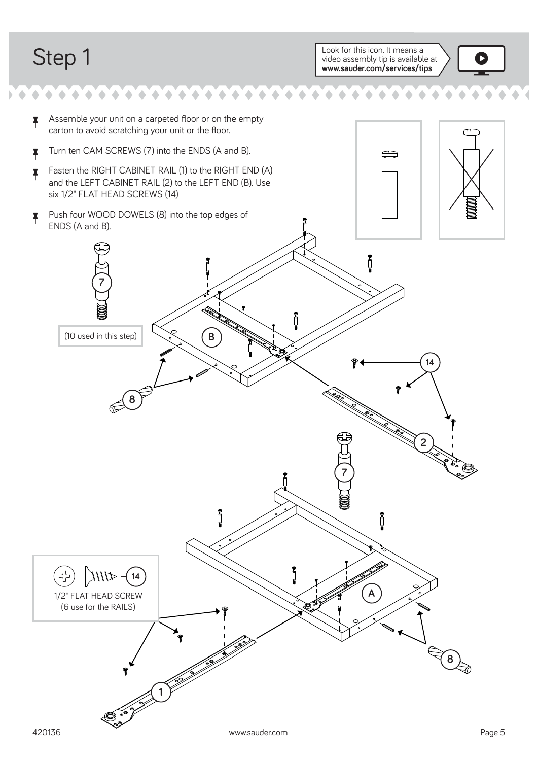$\blacklozenge$ 

 $\bullet \bullet \bullet \bullet \bullet \bullet \bullet \bullet \bullet$ 

 $\bullet$  $\blacklozenge$  $\bullet$  $\triangle$ 

Step 1 Look for this icon. It means a look for this icon. It means a look for this icon. It means a look of this icon. It means a look of this icon. It means a look of this icon. It means a look of this icon. It means a lo video assembly tip is available at **www.sauder.com/services/tips**



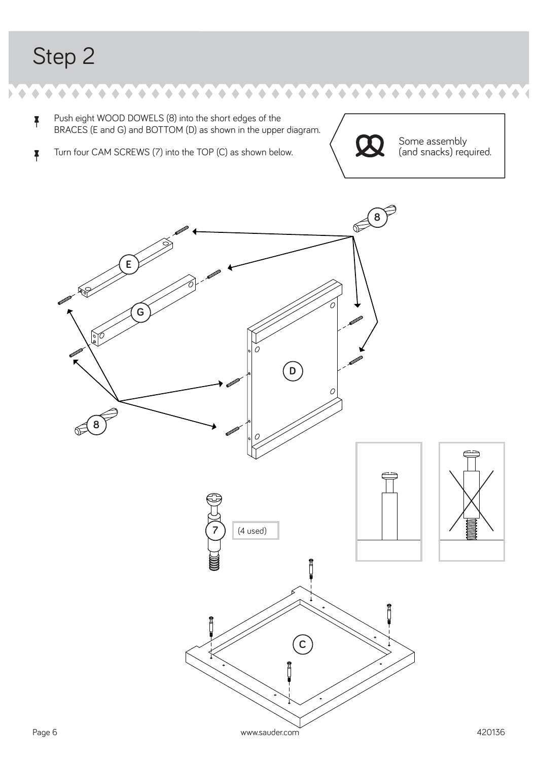$\blacklozenge$ 

 $\bullet$ 

å Push eight WOOD DOWELS (8) into the short edges of the BRACES (E and G) and BOTTOM (D) as shown in the upper diagram.

å Turn four CAM SCREWS (7) into the TOP (C) as shown below.



 $\bullet$ 

Some assembly (and snacks) required.

 $\hat{\phantom{a}}$ 

 $\bullet$ 

 $\bullet$ 

 $\blacklozenge$ 



 $\bullet$  $\bullet$  $\blacklozenge$  $\begin{array}{c} \bullet \\ \bullet \end{array}$  $\blacklozenge$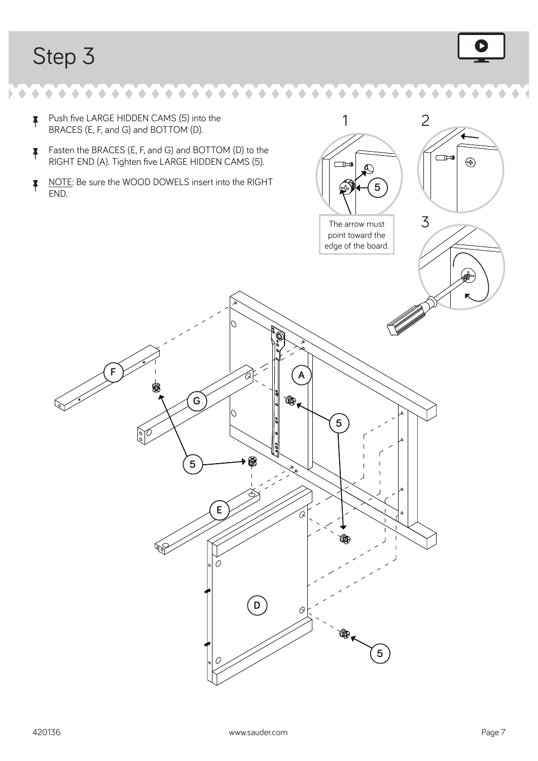

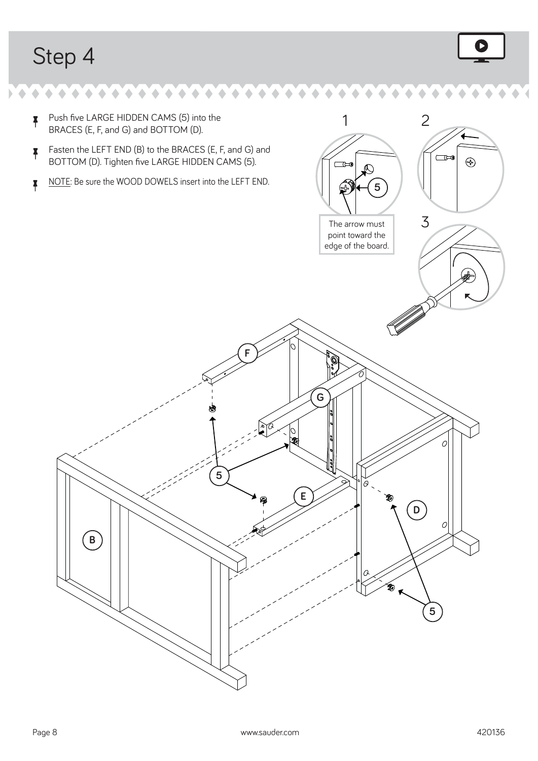$\blacklozenge$ 

 $\bullet \bullet \bullet \bullet \bullet \bullet \bullet \bullet \bullet \bullet$ 

 $\blacklozenge$ 

۰



 $\uparrow$  Push five LARGE HIDDEN CAMS (5) into the 1 2 BRACES (E, F, and G) and BOTTOM (D).  $\uparrow$  Fasten the LEFT END (B) to the BRACES (E, F, and G) and  $\Box$ BOTTOM (D). Tighten five LARGE HIDDEN CAMS (5).  $\bigoplus$  $\Box$  $\mathcal{O}$  $\overline{P}$  NOTE: Be sure the WOOD DOWELS insert into the LEFT END. **5** 3 The arrow must point toward the edge of the board. **F** م ده)<br>م **G**  $\mathbb{Z}$  $\frac{1}{3}$  $\overline{O}$ **5 E D**  $\mathcal O$ **B 5**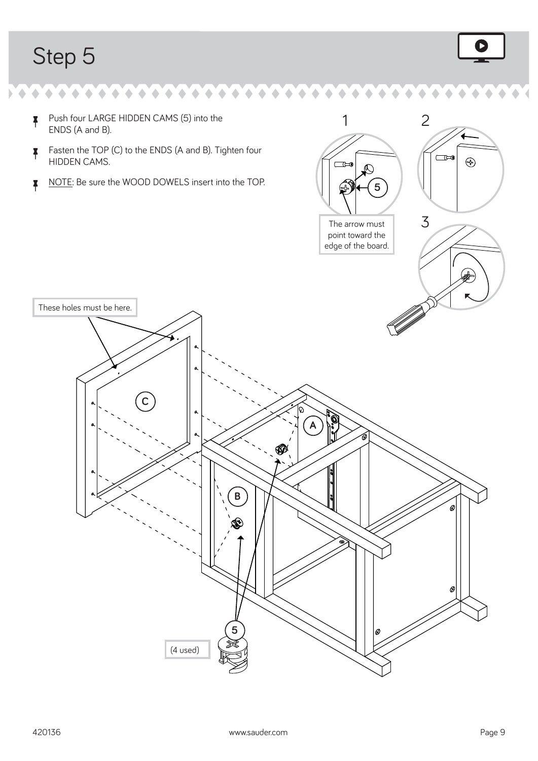۰  $\bullet$ 

 $\blacklozenge$ 



 $\Box$ 

 $\bigoplus$ 

1 2

å Push four LARGE HIDDEN CAMS (5) into the ENDS (A and B).

 $\uparrow$  Fasten the TOP (C) to the ENDS (A and B). Tighten four HIDDEN CAMS.

 $\bullet \bullet \bullet \bullet \bullet \bullet \bullet \bullet \bullet \bullet$ 

 $\bullet$  $\blacklozenge$   $\blacklozenge$ 

K NOTE: Be sure the WOOD DOWELS insert into the TOP.

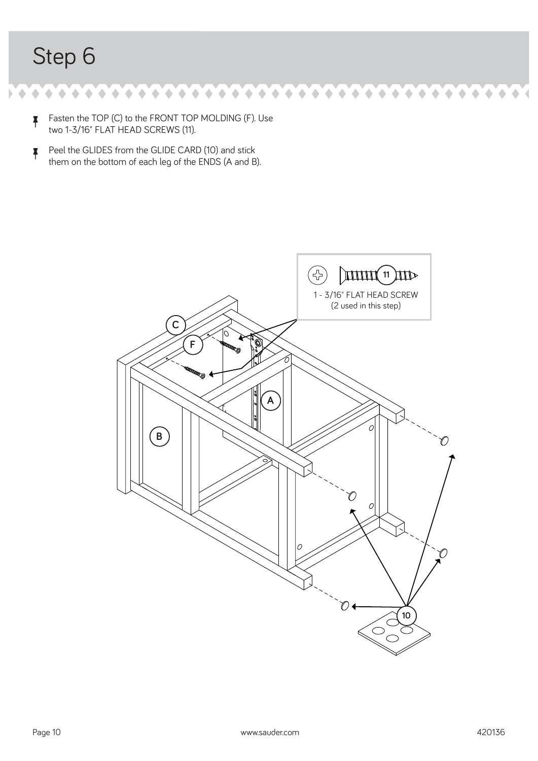$\bullet$  , and a set of a set of a set of a set of a set of a  $\blacklozenge$  $\bullet$ 

- $\uparrow$  Fasten the TOP (C) to the FRONT TOP MOLDING (F). Use two 1-3/16" FLAT HEAD SCREWS (11).
- $\uparrow$  Peel the GLIDES from the GLIDE CARD (10) and stick them on the bottom of each leg of the ENDS (A and B).

![](_page_9_Figure_4.jpeg)

 $\bullet$ 

 $\bullet$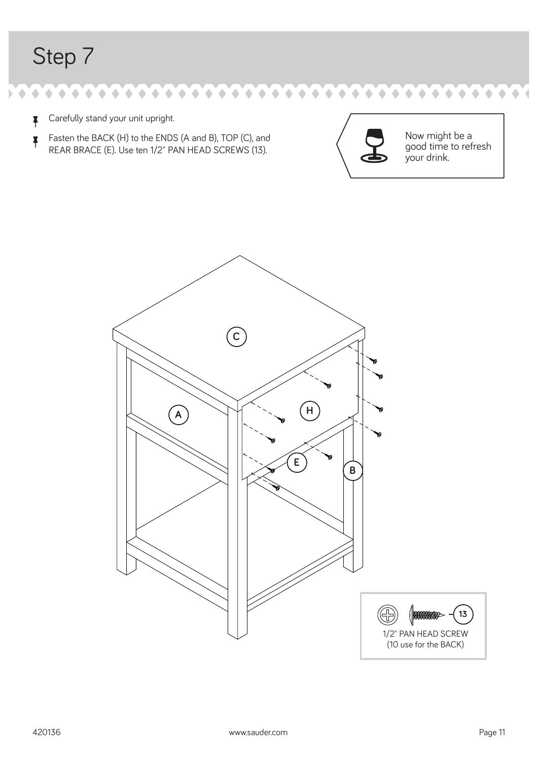$\blacklozenge$ 

 $\uparrow$  Carefully stand your unit upright.

 $\uparrow$  Fasten the BACK (H) to the ENDS (A and B), TOP (C), and REAR BRACE (E). Use ten 1/2" PAN HEAD SCREWS (13).

 $\bullet$  $\hat{\phantom{a}}$ 

 $\bullet \bullet \bullet \bullet \bullet \bullet \bullet \bullet \bullet \bullet \bullet \bullet \bullet \bullet \bullet \bullet \bullet$ 

![](_page_10_Picture_3.jpeg)

 $\bullet$ 

 $\bullet$ 

Now might be a good time to refresh your drink.

 $\bullet$ 

 $\blacklozenge$ 

![](_page_10_Figure_5.jpeg)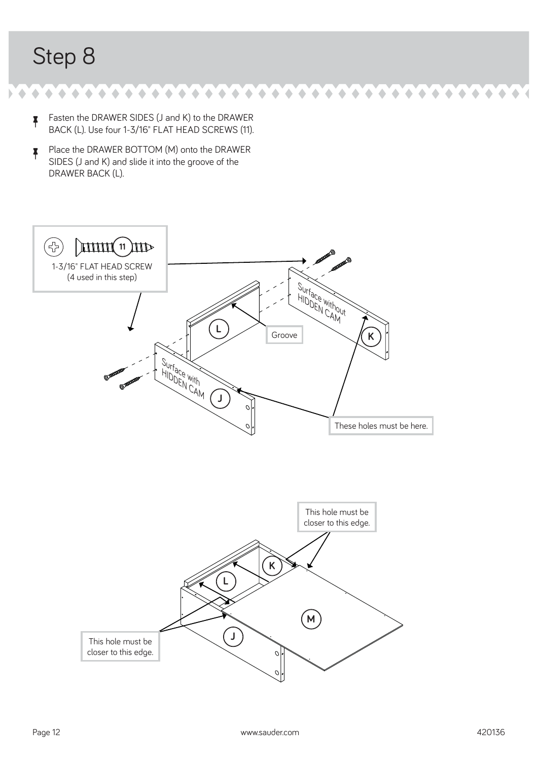$\bullet$  and and analogue and all  $\bullet$  and all  $\bullet$  $\bullet$  $\bullet$ 

- $\uparrow$  Fasten the DRAWER SIDES (J and K) to the DRAWER BACK (L). Use four 1-3/16" FLAT HEAD SCREWS (11).
- **F** Place the DRAWER BOTTOM (M) onto the DRAWER SIDES (J and K) and slide it into the groove of the DRAWER BACK (L).

![](_page_11_Figure_4.jpeg)

 $\bullet$  $\bullet$ 

 $\blacklozenge$  $\bullet$  $\bullet$  $\triangle$  $\bullet$  $\blacklozenge$  $\triangle$ 

 $\bullet$ ۰ **A**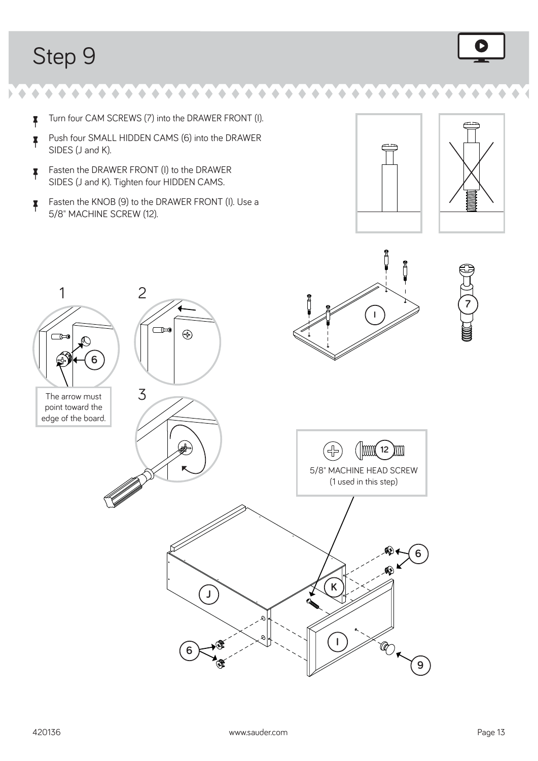$\blacklozenge$  $\blacklozenge$ 

 $\uparrow$  Turn four CAM SCREWS (7) into the DRAWER FRONT (I).

 $\bullet$ 

 $\bullet$  $\triangle$ 

- å Push four SMALL HIDDEN CAMS (6) into the DRAWER SIDES (J and K).
- $\uparrow$  Fasten the DRAWER FRONT (I) to the DRAWER SIDES (J and K). Tighten four HIDDEN CAMS.
- $\uparrow$  Fasten the KNOB (9) to the DRAWER FRONT (I). Use a 5/8" MACHINE SCREW (12).

![](_page_12_Figure_5.jpeg)

![](_page_12_Figure_6.jpeg)

**7**

![](_page_12_Figure_7.jpeg)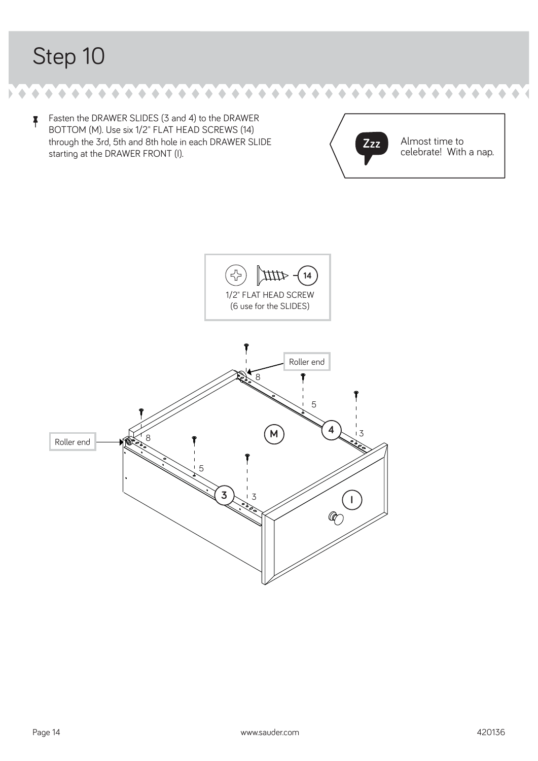$\bullet \bullet \bullet \bullet \bullet \bullet \bullet \bullet \bullet \bullet \bullet \bullet \bullet \bullet \bullet \bullet$  $\bullet$  $\bullet$  $\blacklozenge$ ۸ ۰

 $\uparrow$  Fasten the DRAWER SLIDES (3 and 4) to the DRAWER BOTTOM (M). Use six 1/2" FLAT HEAD SCREWS (14) through the 3rd, 5th and 8th hole in each DRAWER SLIDE starting at the DRAWER FRONT (I).

![](_page_13_Picture_3.jpeg)

 $\blacklozenge$  $\blacklozenge$ 

![](_page_13_Figure_4.jpeg)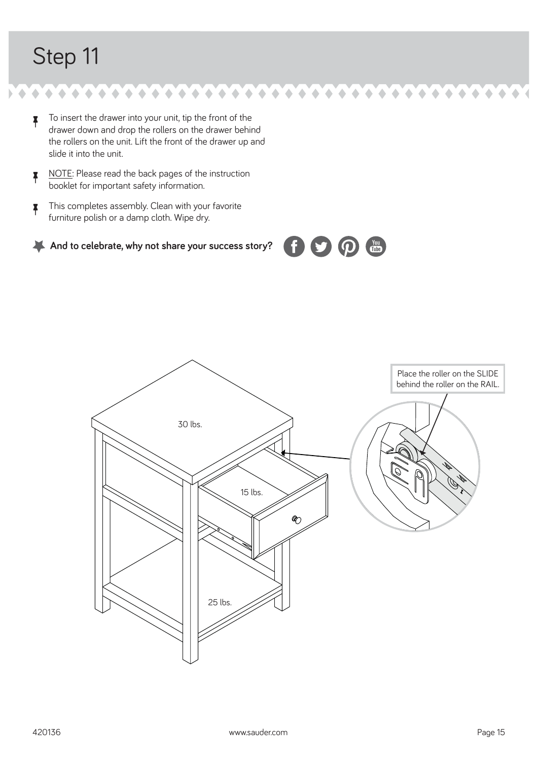To insert the drawer into your unit, tip the front of the drawer down and drop the rollers on the drawer behind the rollers on the unit. Lift the front of the drawer up and slide it into the unit.

 $\bullet$  $\begin{array}{c} \bullet \\ \bullet \end{array}$  $\blacklozenge$ 

۰

 $\bullet \bullet \bullet \bullet \bullet$ 

 $\bullet$  $\blacklozenge$  $\hat{\phantom{a}}$  $\triangle$  $\triangle$ 

- NOTE: Please read the back pages of the instruction booklet for important safety information.
- $\uparrow$  This completes assembly. Clean with your favorite furniture polish or a damp cloth. Wipe dry.

![](_page_14_Picture_4.jpeg)

![](_page_14_Figure_5.jpeg)

You

 $\bullet$ 

 $\triangle$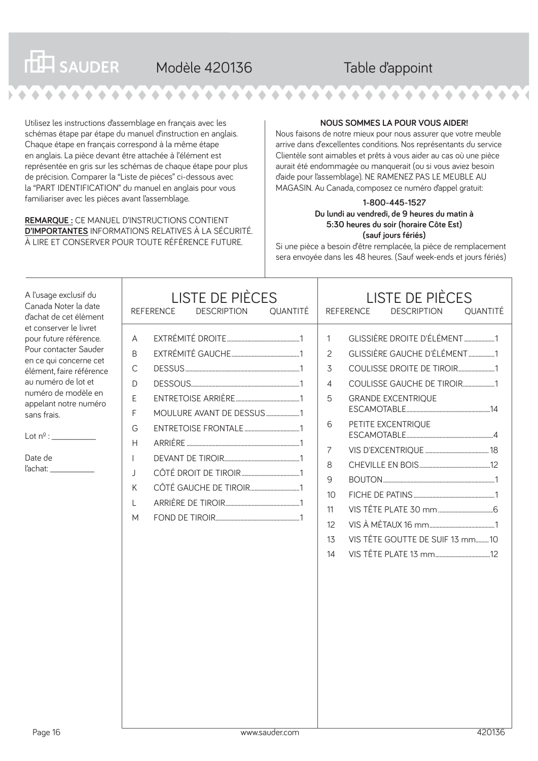| <b>THE SAUDER</b> | Modèle 420136 | Table d'appoint |  |
|-------------------|---------------|-----------------|--|
|                   |               |                 |  |

Utilisez les instructions d'assemblage en français avec les schémas étape par étape du manuel d'instruction en anglais. Chaque étape en français correspond à la même étape en anglais. La pièce devant être attachée à l'élément est représentée en gris sur les schémas de chaque étape pour plus de précision. Comparer la "Liste de pièces" ci-dessous avec la "PART IDENTIFICATION" du manuel en anglais pour vous familiariser avec les pièces avant l'assemblage.

**REMARQUE :** CE MANUEL D'INSTRUCTIONS CONTIENT **D'IMPORTANTES** INFORMATIONS RELATIVES À LA SÉCURITÉ. À LIRE ET CONSERVER POUR TOUTE RÉFÉRENCE FUTURE.

#### **NOUS SOMMES LA POUR VOUS AIDER!**

Nous faisons de notre mieux pour nous assurer que votre meuble arrive dans d'excellentes conditions. Nos représentants du service Clientèle sont aimables et prêts à vous aider au cas où une pièce aurait été endommagée ou manquerait (ou si vous aviez besoin d'aide pour l'assemblage). NE RAMENEZ PAS LE MEUBLE AU MAGASIN. Au Canada, composez ce numéro d'appel gratuit:

#### **1-800-445-1527 Du lundi au vendredi, de 9 heures du matin à 5:30 heures du soir (horaire Côte Est) (sauf jours fériés)**

Si une pièce a besoin d'être remplacée, la pièce de remplacement sera envoyée dans les 48 heures. (Sauf week-ends et jours fériés)

| A l'usage exclusif du<br>Canada Noter la date<br>d'achat de cet élément                                                                                                                                                                                             | <b>LISTE DE PIÈCES</b><br><b>DESCRIPTION</b><br><b>OUANTITÉ</b><br><b>REFERENCE</b>                                    | <b>LISTE DE PIÈCES</b><br><b>REFERENCE</b><br><b>DESCRIPTION</b><br><b>QUANTITÉ</b>                                                                                                                                                                                                                             |
|---------------------------------------------------------------------------------------------------------------------------------------------------------------------------------------------------------------------------------------------------------------------|------------------------------------------------------------------------------------------------------------------------|-----------------------------------------------------------------------------------------------------------------------------------------------------------------------------------------------------------------------------------------------------------------------------------------------------------------|
| et conserver le livret<br>pour future référence.<br>Pour contacter Sauder<br>en ce qui concerne cet<br>élément, faire référence<br>au numéro de lot et<br>numéro de modèle en<br>appelant notre numéro<br>sans frais.<br>Lot n <sup>o</sup> :<br>Date de<br>ľachat: | A<br><sub>B</sub><br>C<br>D<br>E<br>MOULURE AVANT DE DESSUS 1<br>F<br>G<br>$\mathsf{H}$<br>$\mathbf{I}$<br>K<br>L<br>M | GLISSIÈRE DROITE D'ÉLÉMENT 1<br>$\mathbf{1}$<br>GLISSIÈRE GAUCHE D'ÉLÉMENT1<br>$\mathcal{P}$<br>COULISSE DROITE DE TIROIR1<br>3<br>COULISSE GAUCHE DE TIROIR1<br>4<br><b>GRANDE EXCENTRIQUE</b><br>5<br>PETITE EXCENTRIQUE<br>6<br>7<br>8<br>9<br>10<br>11<br>12<br>VIS TÊTE GOUTTE DE SUIF 13 mm10<br>13<br>14 |
| Page 16                                                                                                                                                                                                                                                             | www.sauder.com                                                                                                         | 420136                                                                                                                                                                                                                                                                                                          |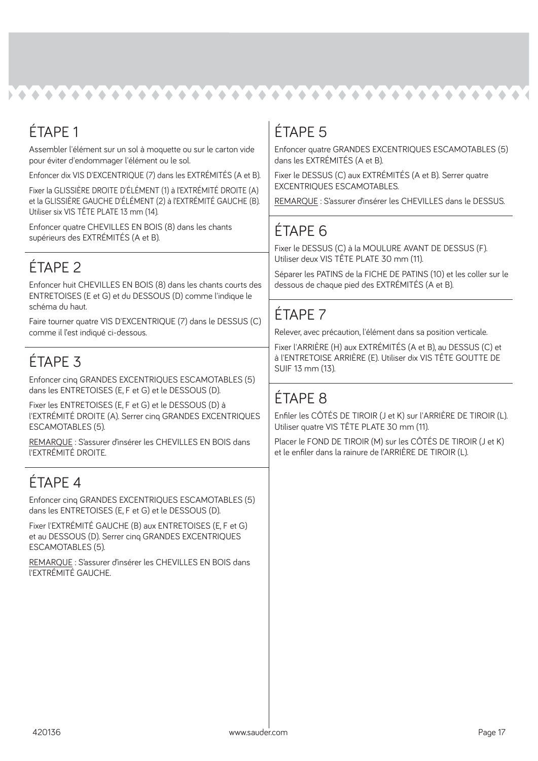#### **. . . . . . . .**  $\triangle$  $\bullet$

## ÉTAPE 1

Assembler l'élément sur un sol à moquette ou sur le carton vide pour éviter d'endommager l'élément ou le sol.

Enfoncer dix VIS D'EXCENTRIQUE (7) dans les EXTRÉMITÉS (A et B).

Fixer la GLISSIÈRE DROITE D'ÉLÉMENT (1) à l'EXTRÉMITÉ DROITE (A) et la GLISSIÈRE GAUCHE D'ÉLÉMENT (2) à l'EXTRÉMITÉ GAUCHE (B). Utiliser six VIS TÊTE PLATE 13 mm (14).

Enfoncer quatre CHEVILLES EN BOIS (8) dans les chants supérieurs des EXTRÉMITÉS (A et B).

## ÉTAPE 2

Enfoncer huit CHEVILLES EN BOIS (8) dans les chants courts des ENTRETOISES (E et G) et du DESSOUS (D) comme l'indique le schéma du haut.

Faire tourner quatre VIS D'EXCENTRIQUE (7) dans le DESSUS (C) comme il l'est indiqué ci-dessous.

## ÉTAPE 3

Enfoncer cinq GRANDES EXCENTRIQUES ESCAMOTABLES (5) dans les ENTRETOISES (E, F et G) et le DESSOUS (D).

Fixer les ENTRETOISES (E, F et G) et le DESSOUS (D) à l'EXTRÉMITÉ DROITE (A). Serrer cinq GRANDES EXCENTRIQUES ESCAMOTABLES (5).

REMARQUE : S'assurer d'insérer les CHEVILLES EN BOIS dans l'EXTRÉMITÉ DROITE.

### ÉTAPE 4

Enfoncer cinq GRANDES EXCENTRIQUES ESCAMOTABLES (5) dans les ENTRETOISES (E, F et G) et le DESSOUS (D).

Fixer l'EXTRÉMITÉ GAUCHE (B) aux ENTRETOISES (E, F et G) et au DESSOUS (D). Serrer cinq GRANDES EXCENTRIQUES ESCAMOTABLES (5).

REMARQUE : S'assurer d'insérer les CHEVILLES EN BOIS dans l'EXTRÉMITÉ GAUCHE.

## ÉTAPE 5

Enfoncer quatre GRANDES EXCENTRIQUES ESCAMOTABLES (5) dans les EXTRÉMITÉS (A et B).

Fixer le DESSUS (C) aux EXTRÉMITÉS (A et B). Serrer quatre EXCENTRIQUES ESCAMOTABLES.

REMARQUE : S'assurer d'insérer les CHEVILLES dans le DESSUS.

#### ÉTAPE 6

Fixer le DESSUS (C) à la MOULURE AVANT DE DESSUS (F). Utiliser deux VIS TÊTE PLATE 30 mm (11).

Séparer les PATINS de la FICHE DE PATINS (10) et les coller sur le dessous de chaque pied des EXTRÉMITÉS (A et B).

### ÉTAPE 7

Relever, avec précaution, l'élément dans sa position verticale.

Fixer l'ARRIÈRE (H) aux EXTRÉMITÉS (A et B), au DESSUS (C) et à l'ENTRETOISE ARRIÈRE (E). Utiliser dix VIS TÊTE GOUTTE DE SUIF 13 mm (13).

### ÉTAPE 8

Enfiler les CÔTÉS DE TIROIR (J et K) sur l'ARRIÈRE DE TIROIR (L). Utiliser quatre VIS TÊTE PLATE 30 mm (11).

Placer le FOND DE TIROIR (M) sur les CÔTÉS DE TIROIR (J et K) et le enfiler dans la rainure de l'ARRIÈRE DE TIROIR (L).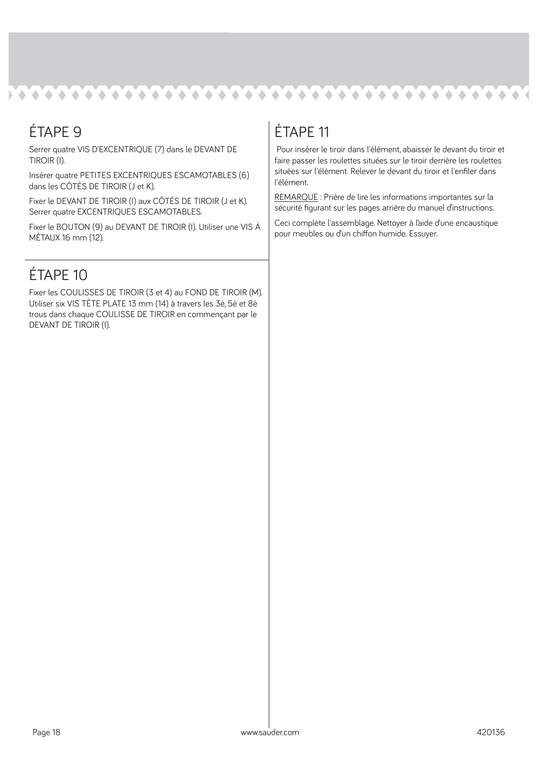![](_page_17_Picture_0.jpeg)

### ÉTAPE 9

Serrer quatre VIS D'EXCENTRIQUE (7) dans le DEVANT DE TIROIR (I).

Insérer quatre PETITES EXCENTRIQUES ESCAMOTABLES (6) dans les CÔTÉS DE TIROIR (J et K).

Fixer le DEVANT DE TIROIR (I) aux CÔTÉS DE TIROIR (J et K). Serrer quatre EXCENTRIQUES ESCAMOTABLES.

Fixer le BOUTON (9) au DEVANT DE TIROIR (I). Utiliser une VIS À MÉTAUX 16 mm (12).

### ÉTAPE 10

Fixer les COULISSES DE TIROIR (3 et 4) au FOND DE TIROIR (M). Utiliser six VIS TÊTE PLATE 13 mm (14) à travers les 3è, 5è et 8è trous dans chaque COULISSE DE TIROIR en commençant par le DEVANT DE TIROIR (I).

## ÉTAPE 11

 Pour insérer le tiroir dans l'élément, abaisser le devant du tiroir et faire passer les roulettes situées sur le tiroir derrière les roulettes situées sur l'élément. Relever le devant du tiroir et l'enfiler dans l'élément.

REMARQUE : Prière de lire les informations importantes sur la sécurité figurant sur les pages arrière du manuel d'instructions.

Ceci complète l'assemblage. Nettoyer à l'aide d'une encaustique pour meubles ou d'un chiffon humide. Essuver.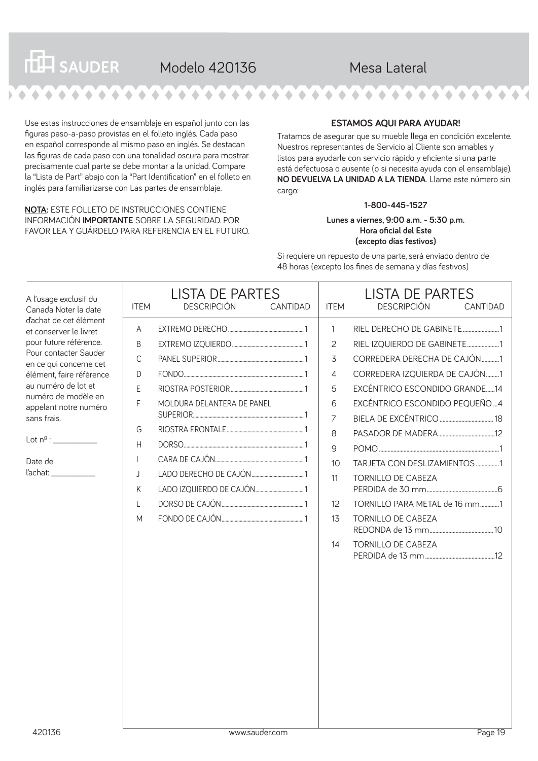#### **THE SAUDER** Modelo 420136 Mesa Lateral  $\triangle$

Use estas instrucciones de ensamblaje en español junto con las figuras paso-a-paso provistas en el folleto inglés. Cada paso en español corresponde al mismo paso en inglés. Se destacan las figuras de cada paso con una tonalidad oscura para mostrar precisamente cual parte se debe montar a la unidad. Compare la "Lista de Part" abajo con la "Part Identification" en el folleto en inglés para familiarizarse con Las partes de ensamblaje.

**NOTA:** ESTE FOLLETO DE INSTRUCCIONES CONTIENE INFORMACIÓN **IMPORTANTE** SOBRE LA SEGURIDAD. POR FAVOR LEA Y GUÁRDELO PARA REFERENCIA EN EL FUTURO.

#### **ESTAMOS AQUI PARA AYUDAR!**

Tratamos de asegurar que su mueble llega en condición excelente. Nuestros representantes de Servicio al Cliente son amables y listos para ayudarle con servicio rápido y eficiente si una parte está defectuosa o ausente (o si necesita ayuda con el ensamblaje). **NO DEVUELVA LA UNIDAD A LA TIENDA**. Llame este número sin cargo:

#### **1-800-445-1527**

**Lunes a viernes, 9:00 a.m. - 5:30 p.m. Hora oficial del Este (excepto días festivos)**

Si requiere un repuesto de una parte, será enviado dentro de 48 horas (excepto los fines de semana y días festivos)

| A l'usage exclusif du<br>Canada Noter la date                                                                                                                                                                                                                                                           | <b>ITEM</b>                                                              | <b>LISTA DE PARTES</b><br><b>DESCRIPCIÓN</b> | CANTIDAD | <b>ITEM</b>                                                                                                    | <b>LISTA DE PARTES</b><br><b>DESCRIPCIÓN</b><br>CANTIDAD                                                                                                                                                                                                                                                                                                        |
|---------------------------------------------------------------------------------------------------------------------------------------------------------------------------------------------------------------------------------------------------------------------------------------------------------|--------------------------------------------------------------------------|----------------------------------------------|----------|----------------------------------------------------------------------------------------------------------------|-----------------------------------------------------------------------------------------------------------------------------------------------------------------------------------------------------------------------------------------------------------------------------------------------------------------------------------------------------------------|
| d'achat de cet élément<br>et conserver le livret<br>pour future référence.<br>Pour contacter Sauder<br>en ce qui concerne cet<br>élément, faire référence<br>au numéro de lot et<br>numéro de modèle en<br>appelant notre numéro<br>sans frais.<br>Lot n <sup>0</sup> :<br>Date de<br>ľachat:<br>420136 | A<br>B<br>C<br>D<br>E<br>F<br>G<br>H<br>$\mathbf{I}$<br>J<br>Κ<br>L<br>M | MOLDURA DELANTERA DE PANEL<br>www.sauder.com |          | 1<br>$\overline{c}$<br>3<br>$\overline{4}$<br>5<br>6<br>$\overline{7}$<br>8<br>9<br>10<br>11<br>12<br>13<br>14 | RIEL DERECHO DE GABINETE1<br>RIEL IZQUIERDO DE GABINETE1<br>CORREDERA DERECHA DE CAJÓN1<br>CORREDERA IZQUIERDA DE CAJÓN1<br>EXCÉNTRICO ESCONDIDO GRANDE14<br>EXCÉNTRICO ESCONDIDO PEQUEÑO  4<br>TARJETA CON DESLIZAMIENTOS 1<br><b>TORNILLO DE CABEZA</b><br>TORNILLO PARA METAL de 16 mm1<br><b>TORNILLO DE CABEZA</b><br><b>TORNILLO DE CABEZA</b><br>Page 19 |
|                                                                                                                                                                                                                                                                                                         |                                                                          |                                              |          |                                                                                                                |                                                                                                                                                                                                                                                                                                                                                                 |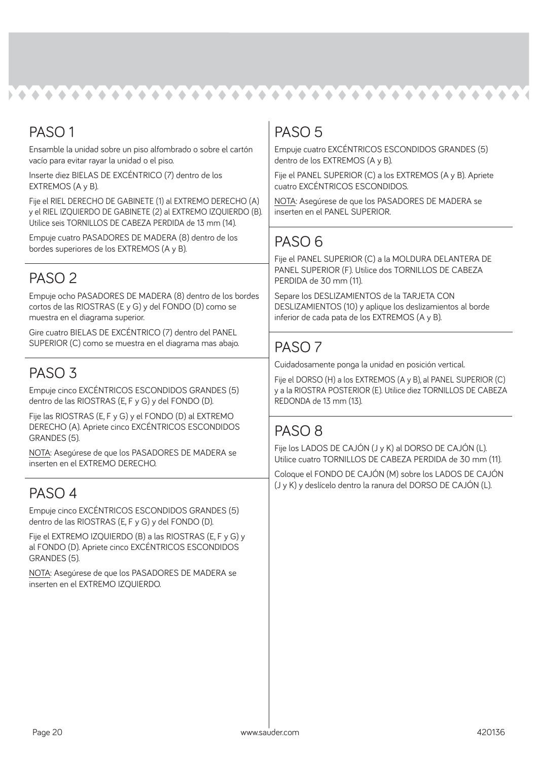#### **NA AAAAAAAAAA**  $\bullet$  $\triangle$  $\triangle$  $\triangle$  $\bullet$

#### PASO 1

Ensamble la unidad sobre un piso alfombrado o sobre el cartón vacío para evitar rayar la unidad o el piso.

Inserte diez BIELAS DE EXCÉNTRICO (7) dentro de los EXTREMOS (A y B).

Fije el RIEL DERECHO DE GABINETE (1) al EXTREMO DERECHO (A) y el RIEL IZQUIERDO DE GABINETE (2) al EXTREMO IZQUIERDO (B). Utilice seis TORNILLOS DE CABEZA PERDIDA de 13 mm (14).

Empuje cuatro PASADORES DE MADERA (8) dentro de los bordes superiores de los EXTREMOS (A y B).

#### PASO<sub>2</sub>

Empuje ocho PASADORES DE MADERA (8) dentro de los bordes cortos de las RIOSTRAS (E y G) y del FONDO (D) como se muestra en el diagrama superior.

Gire cuatro BIELAS DE EXCÉNTRICO (7) dentro del PANEL SUPERIOR (C) como se muestra en el diagrama mas abajo.

#### PASO<sub>3</sub>

Empuje cinco EXCÉNTRICOS ESCONDIDOS GRANDES (5) dentro de las RIOSTRAS (E, F y G) y del FONDO (D).

Fije las RIOSTRAS (E, F y G) y el FONDO (D) al EXTREMO DERECHO (A). Apriete cinco EXCÉNTRICOS ESCONDIDOS GRANDES (5).

NOTA: Asegúrese de que los PASADORES DE MADERA se inserten en el EXTREMO DERECHO.

#### PASO 4

Empuje cinco EXCÉNTRICOS ESCONDIDOS GRANDES (5) dentro de las RIOSTRAS (E, F y G) y del FONDO (D).

Fije el EXTREMO IZQUIERDO (B) a las RIOSTRAS (E, F y G) y al FONDO (D). Apriete cinco EXCÉNTRICOS ESCONDIDOS GRANDES (5).

NOTA: Asegúrese de que los PASADORES DE MADERA se inserten en el EXTREMO IZQUIERDO.

### PASO 5

Empuje cuatro EXCÉNTRICOS ESCONDIDOS GRANDES (5) dentro de los EXTREMOS (A y B).

Fije el PANEL SUPERIOR (C) a los EXTREMOS (A y B). Apriete cuatro EXCÉNTRICOS ESCONDIDOS.

NOTA: Asegúrese de que los PASADORES DE MADERA se inserten en el PANEL SUPERIOR.

#### PASO 6

Fije el PANEL SUPERIOR (C) a la MOLDURA DELANTERA DE PANEL SUPERIOR (F). Utilice dos TORNILLOS DE CABEZA PERDIDA de 30 mm (11).

Separe los DESLIZAMIENTOS de la TARJETA CON DESLIZAMIENTOS (10) y aplique los deslizamientos al borde inferior de cada pata de los EXTREMOS (A y B).

### PASO<sub>7</sub>

Cuidadosamente ponga la unidad en posición vertical.

Fije el DORSO (H) a los EXTREMOS (A y B), al PANEL SUPERIOR (C) y a la RIOSTRA POSTERIOR (E). Utilice diez TORNILLOS DE CABEZA REDONDA de 13 mm (13).

#### PASO 8

Fije los LADOS DE CAJÓN (J y K) al DORSO DE CAJÓN (L). Utilice cuatro TORNILLOS DE CABEZA PERDIDA de 30 mm (11).

Coloque el FONDO DE CAJÓN (M) sobre los LADOS DE CAJÓN (J y K) y deslícelo dentro la ranura del DORSO DE CAJÓN (L).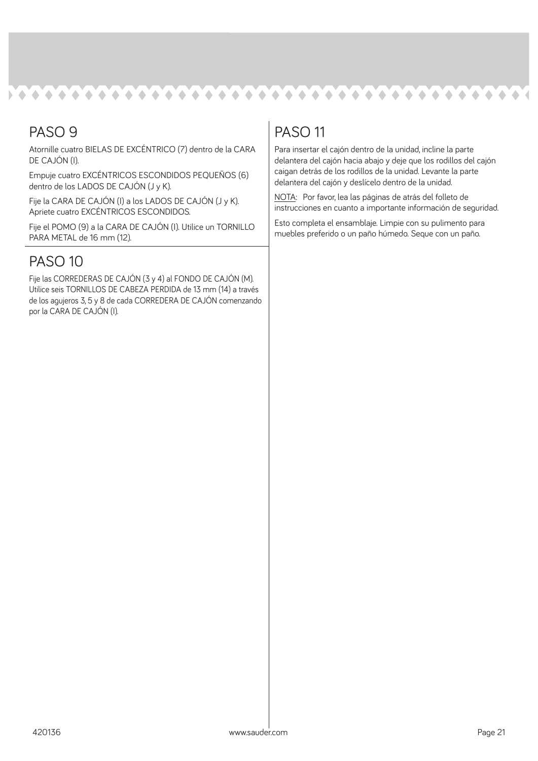#### $\begin{array}{ccc}\n\bullet & \bullet & \bullet & \bullet & \bullet & \bullet\n\end{array}$ **NA 6 6 6 6 6 6 6 6 6 6**  $\bullet$  $\bullet$  $\blacktriangle$  $\bullet$  $\bullet$  $\bullet$  $\bullet$ i di  $\triangle$  $\bullet$  $\triangle$

#### PASO 9

Atornille cuatro BIELAS DE EXCÉNTRICO (7) dentro de la CARA DE CAJÓN (I).

Empuje cuatro EXCÉNTRICOS ESCONDIDOS PEQUEÑOS (6) dentro de los LADOS DE CAJÓN (J y K).

Fije la CARA DE CAJÓN (I) a los LADOS DE CAJÓN (J y K). Apriete cuatro EXCÉNTRICOS ESCONDIDOS.

Fije el POMO (9) a la CARA DE CAJÓN (I). Utilice un TORNILLO PARA METAL de 16 mm (12).

#### PASO 10

Fije las CORREDERAS DE CAJÓN (3 y 4) al FONDO DE CAJÓN (M). Utilice seis TORNILLOS DE CABEZA PERDIDA de 13 mm (14) a través de los agujeros 3, 5 y 8 de cada CORREDERA DE CAJÓN comenzando por la CARA DE CAJÓN (I).

#### PASO 11

Para insertar el cajón dentro de la unidad, incline la parte delantera del cajón hacia abajo y deje que los rodillos del cajón caigan detrás de los rodillos de la unidad. Levante la parte delantera del cajón y deslícelo dentro de la unidad.

NOTA: Por favor, lea las páginas de atrás del folleto de instrucciones en cuanto a importante información de seguridad.

Esto completa el ensamblaje. Limpie con su pulimento para muebles preferido o un paño húmedo. Seque con un paño.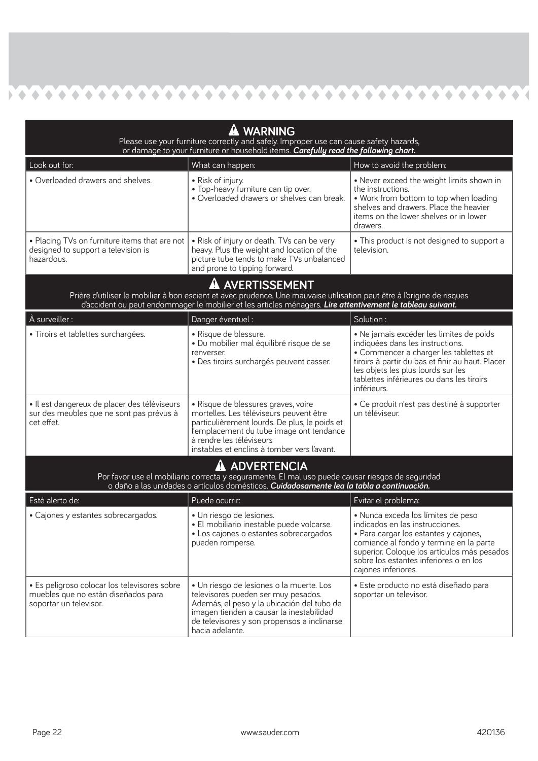| <b>WARNING</b><br>Please use your furniture correctly and safely. Improper use can cause safety hazards,<br>or damage to your furniture or household items. Carefully read the following chart.                                                        |                                                                                                                                                                                                                                                        |                                                                                                                                                                                                                                                                              |  |
|--------------------------------------------------------------------------------------------------------------------------------------------------------------------------------------------------------------------------------------------------------|--------------------------------------------------------------------------------------------------------------------------------------------------------------------------------------------------------------------------------------------------------|------------------------------------------------------------------------------------------------------------------------------------------------------------------------------------------------------------------------------------------------------------------------------|--|
| Look out for:                                                                                                                                                                                                                                          | What can happen:                                                                                                                                                                                                                                       | How to avoid the problem:                                                                                                                                                                                                                                                    |  |
| · Overloaded drawers and shelves.                                                                                                                                                                                                                      | • Risk of injury.<br>• Top-heavy furniture can tip over.<br>· Overloaded drawers or shelves can break.                                                                                                                                                 | • Never exceed the weight limits shown in<br>the instructions.<br>. Work from bottom to top when loading<br>shelves and drawers. Place the heavier<br>items on the lower shelves or in lower<br>drawers.                                                                     |  |
| . Placing TVs on furniture items that are not<br>designed to support a television is<br>hazardous.                                                                                                                                                     | . Risk of injury or death. TVs can be very<br>heavy. Plus the weight and location of the<br>picture tube tends to make TVs unbalanced<br>and prone to tipping forward.                                                                                 | • This product is not designed to support a<br>television.                                                                                                                                                                                                                   |  |
| AVERTISSEMENT<br>Prière d'utiliser le mobilier à bon escient et avec prudence. Une mauvaise utilisation peut être à l'origine de risques<br>d'accident ou peut endommager le mobilier et les articles ménagers. Lire attentivement le tableau suivant. |                                                                                                                                                                                                                                                        |                                                                                                                                                                                                                                                                              |  |
| À surveiller :                                                                                                                                                                                                                                         | Danger éventuel :                                                                                                                                                                                                                                      | Solution:                                                                                                                                                                                                                                                                    |  |
| · Tiroirs et tablettes surchargées.                                                                                                                                                                                                                    | · Risque de blessure.<br>· Du mobilier mal équilibré risque de se<br>renverser.<br>· Des tiroirs surchargés peuvent casser.                                                                                                                            | · Ne jamais excéder les limites de poids<br>indiquées dans les instructions.<br>• Commencer a charger les tablettes et<br>tiroirs à partir du bas et finir au haut. Placer<br>les objets les plus lourds sur les<br>tablettes inférieures ou dans les tiroirs<br>inférieurs. |  |
| · Il est dangereux de placer des téléviseurs<br>sur des meubles que ne sont pas prévus à<br>cet effet.                                                                                                                                                 | · Risque de blessures graves, voire<br>mortelles. Les téléviseurs peuvent être<br>particulièrement lourds. De plus, le poids et<br>l'emplacement du tube image ont tendance<br>à rendre les téléviseurs<br>instables et enclins à tomber vers l'avant. | · Ce produit n'est pas destiné à supporter<br>un téléviseur.                                                                                                                                                                                                                 |  |
| <b>ADVERTENCIA</b><br>Por favor use el mobiliario correcta y seguramente. El mal uso puede causar riesgos de seguridad<br>o daño a las unidades o artículos domésticos. Cuidadosamente lea la tabla a continuación.                                    |                                                                                                                                                                                                                                                        |                                                                                                                                                                                                                                                                              |  |
| Esté alerto de:                                                                                                                                                                                                                                        | Puede ocurrir:                                                                                                                                                                                                                                         | Evitar el problema:                                                                                                                                                                                                                                                          |  |
| • Cajones y estantes sobrecargados.                                                                                                                                                                                                                    | · Un riesgo de lesiones.<br>· El mobiliario inestable puede volcarse.<br>• Los cajones o estantes sobrecargados<br>pueden romperse.                                                                                                                    | · Nunca exceda los límites de peso<br>indicados en las instrucciones.<br>• Para cargar los estantes y cajones,<br>comience al fondo y termine en la parte<br>superior. Coloque los artículos más pesados<br>sobre los estantes inferiores o en los<br>cajones inferiores.    |  |
| · Es peligroso colocar los televisores sobre<br>muebles que no están diseñados para<br>soportar un televisor.                                                                                                                                          | · Un riesgo de lesiones o la muerte. Los<br>televisores pueden ser muy pesados.<br>Además, el peso y la ubicación del tubo de<br>imagen tienden a causar la inestabilidad<br>de televisores y son propensos a inclinarse<br>hacia adelante.            | · Este producto no está diseñado para<br>soportar un televisor.                                                                                                                                                                                                              |  |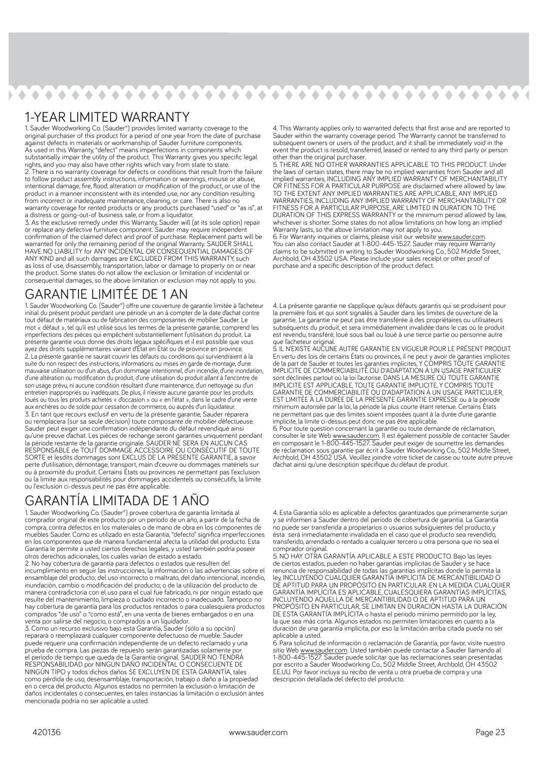## 

#### 1-YEAR LIMITED WARRANTY

1. Sauder Woodworking Co. (Sauder®) provides limited warranty coverage to the original purchaser of this product for a period of one year from the date of purchase against defects in materials or workmanship of Sauder furniture components. As used in this Warranty, "defect" means imperfections in components which substantially impair the utility of the product. This Warranty gives you specific legal rights, and you may also have other rights which vary from state to state. 2. There is no warranty coverage for defects or conditions that result from the failure to follow product assembly instructions, information or warnings, misuse or abuse, intentional damage, fire, flood, alteration or modification of the product, or use of the product in a manner inconsistent with its intended use, nor any condition resulting from incorrect or inadequate maintenance, cleaning, or care. There is also no warranty coverage for rented products or any products purchased "used" or "as is", at a distress or going-out-of business sale, or from a liquidator.

3. As the exclusive remedy under this Warranty, Sauder will (at its sole option) repair or replace any defective furniture component. Sauder may require independent confirmation of the claimed defect and proof of purchase. Replacement parts will be warranted for only the remaining period of the original Warranty. SAUDER SHALL HAVE NO LIABILITY for ANY INCIDENTAL OR CONSEQUENTIAL DAMAGES OF ANY KIND and all such damages are EXCLUDED FROM THIS WARRANTY, such as loss of use, disassembly, transportation, labor or damage to property on or near the product. Some states do not allow the exclusion or limitation of incidental or consequential damages, so the above limitation or exclusion may not apply to you.

#### GARANTIE LIMITÉE DE 1 AN

1. Sauder Woodworking Co. (Sauder®) offre une couverture de garantie limitée à l'acheteur initial du présent produit pendant une période un an à compter de la date d'achat contre tout défaut de matériaux ou de fabrication des composantes de mobilier Sauder. Le mot « défaut », tel qu'il est utilisé sous les termes de la présente garantie, comprend les imperfections des pièces qui empêchent substantiellement l'utilisation du produit. La présente garantie vous donne des droits légaux spécifiques et il est possible que vous ayez des droits supplémentaires variant d'État en État ou de province en province. 2. La présente garantie ne saurait couvrir les défauts ou conditions qui surviendraient à la suite du non respect des instructions, informations ou mises en garde de montage, d'une mauvaise utilisation ou d'un abus, d'un dommage intentionnel, d'un incendie, d'une inondation, d'une altération ou modification du produit, d'une utilisation du produit allant à l'encontre de son usage prévu, ni aucune condition résultant d'une maintenance, d'un nettoyage ou d'un entretien inappropriés ou inadéquats. De plus, il n'existe aucune garantie pour les produits loués ou tous les produits achetés « d'occasion » ou « en l'état », dans le cadre d'une vente aux enchères ou de solde pour cessation de commerce, ou auprès d'un liquidateur. 3. En tant que recours exclusif en vertu de la présente garantie, Sauder réparera ou remplacera (sur sa seule décision) toute composante de mobilier défectueuse. Sauder peut exiger une confirmation indépendante du défaut revendiqué ainsi qu'une preuve d'achat. Les pièces de rechange seront garanties uniquement pendant la période restante de la garantie originale. SAUDER NE SERA EN AUCUN CAS RESPONSABLE de TOUT DOMMAGE ACCESSOIRE OU CONSÉCUTIF DE TOUTE SORTE et lesdits dommages sont EXCLUS DE LA PRÉSENTE GARANTIE, à savoir perte d'utilisation, démontage, transport, main d'ceuvre ou dommages matériels sur ou à proximité du produit. Certains États ou provinces ne permettant pas l'exclusion ou la limite aux responsabilités pour dommages accidentels ou consécutifs, la limite ou l'exclusion ci-dessus peut ne pas être applicable.

#### GARANTÍA LIMITADA DE 1 AÑO

1. Sauder Woodworking Co. (Sauder®) provee cobertura de garantía limitada al comprador original de este producto por un período de un año, a partir de la fecha de compra, contra defectos en los materiales o de mano de obra en los componentes de muebles Sauder. Como es utilizado en esta Garantía, "defecto" significa imperfecciones en los componentes que de manera fundamental afecta la utilidad del producto. Esta Garantía le permite a usted ciertos derechos legales, y usted también podría poseer otros derechos adicionales, los cuales varían de estado a estado.

2. No hay cobertura de garantía para defectos o estados que resulten del incumplimiento en seguir las instrucciones, la información o las advertencias sobre el ensamblaje del producto; del uso incorrecto o maltrato, del daño intencional, incendio, inundación, cambio o modificación del producto; o de la utilización del producto de manera contradictoria con el uso para el cual fue fabricado, ni por ningún estado que resulte del mantenimiento, limpieza o cuidado incorrecto o inadecuado. Tampoco no hay cobertura de garantía para los productos rentados o para cualesquiera productos comprados "de uso" o "como está", en una venta de bienes embargados o en una venta por salirse del negocio, o comprados a un liquidador.

3. Como un recurso exclusivo bajo esta Garantía, Sauder (sólo a su opción) reparará o reemplazará cualquier componente defectuoso de mueble. Sauder puede requerir una confirmación independiente de un defecto reclamado y una prueba de compra. Las piezas de repuesto serán garantizadas solamente por el período de tiempo que queda de la Garantía original. SAUDER NO TENDRÁ RESPONSABILIDAD por NINGÚN DAÑO INCIDENTAL O CONSECUENTE DE NINGÚN TIPO y todos dichos daños SE EXCLUYEN DE ESTA GARANTÍA, tales como pérdida de uso, desensamblaje, transportación, trabajo o daño a la propiedad en o cerca del producto. Algunos estados no permiten la exclusión o limitación de daños incidentales o consecuentes, en tales instancias la limitación o exclusión antes mencionada podría no ser aplicable a usted.

4. This Warranty applies only to warranted defects that first arise and are reported to Sauder within the warranty coverage period. The Warranty cannot be transferred to subsequent owners or users of the product, and it shall be immediately void in the event the product is resold, transferred, leased or rented to any third party or person other than the original purchaser.

5. THERE ARE NO OTHER WARRANTIES APPLICABLE TO THIS PRODUCT. Under the laws of certain states, there may be no implied warranties from Sauder and all implied warranties, INCLUDING ANY IMPLIED WARRANTY OF MERCHANTABILITY OR FITNESS FOR A PARTICULAR PURPOSE are disclaimed where allowed by law. TO THE EXTENT ANY IMPLIED WARRANTIES ARE APPLICABLE, ANY IMPLIED WARRANTIES, INCLUDING ANY IMPLIED WARRANTY OF MERCHANTABILITY OR FITNESS FOR A PARTICULAR PURPOSE, ARE LIMITED IN DURATION TO THE DURATION OF THIS EXPRESS WARRANTY or the minimum period allowed by law, whichever is shorter. Some states do not allow limitations on how long an implied Warranty lasts, so the above limitation may not apply to you.

6. For Warranty inquiries or claims, please visit our website www.sauder.com You can also contact Sauder at 1-800-445-1527. Sauder may require Warranty claims to be submitted in writing to Sauder Woodworking Co., 502 Middle Street, Archbold, OH 43502 USA. Please include your sales receipt or other proof of purchase and a specific description of the product defect.

4. La présente garantie ne s'applique qu'aux défauts garantis qui se produisent pour la première fois et qui sont signalés à Sauder dans les limites de ouverture de la garantie. La garantie ne peut pas être transférée à des propriétaires ou utilisateurs subséquents du produit, et sera immédiatement invalidée dans le cas où le produit est revendu, transféré, loué sous bail ou loué à une tierce partie ou personne autre que l'acheteur original.

5. IL N'EXISTE AUCUNE AUTRE GARANTIE EN VIGUEUR POUR LE PRÉSENT PRODUIT. En vertu des lois de certains États ou provinces, il ne peut y avoir de garanties implicites de la part de Sauder et toutes les garanties implicites, Y COMPRIS TOUTE GARANTIE IMPLICITE DE COMMERCIABILITÉ OU D'ADAPTATION À UN USAGE PARTICULIER sont déclinées partout où la loi l'autorise. DANS LA MESURE OÙ TOUTE GARANTIE IMPLICITE EST APPLICABLE, TOUTE GARANTIE IMPLICITE, Y COMPRIS TOUTE GARANTIE DE COMMERCIABILITÉ OU D'ADAPTATION À UN USAGE PARTICULIER, EST LIMITÉE À LA DURÉE DE LA PRÉSENTE GARANTIE EXPRESSE ou à la période minimum autorisée par la loi, la période la plus courte étant retenue. Certains États ne permettant pas que des limites soient imposées quant à la durée d'une garantie implicite, la limite ci-dessus peut donc ne pas être applicable.

6. Pour toute question concernant la garantie ou toute demande de réclamation, consulter le site Web www.sauder.com. Il est également possible de contacter Sauder en composant le 1-800-445-1527. Sauder peut exiger de soumettre les demandes de réclamation sous garantie par écrit à Sauder Woodworking Co., 502 Middle Street, Archbold, OH 43502 USA. Veuillez joindre votre ticket de caisse ou toute autre preuve d'achat ainsi qu'une description spécifique du défaut de produit.

4. Esta Garantía sólo es aplicable a defectos garantizados que primeramente surjan y se informen a Sauder dentro del período de cobertura de garantía. La Garantía no puede ser transferida a propietarios o usuarios subsiguientes del producto, y ésta será inmediatamente invalidada en el caso que el producto sea revendido, transferido, arrendado o rentado a cualquier tercero u otra persona que no sea el comprador original.

5. NO HAY OTRA GARANTÍA APLICABLE A ESTE PRODUCTO. Bajo las leyes de ciertos estados, pueden no haber garantías implícitas de Sauder y se hace renuncia de responsabilidad de todas las garantías implícitas donde lo permita la ley, INCLUYENDO CUALQUIER GARANTÍA IMPLÍCITA DE MERCANTIBILIDAD O DE APTITUD PARA UN PROPÓSITO EN PARTICULAR. EN LA MEDIDA CUALQUIER GARANTÍA IMPLÍCITA ES APLICABLE, CUALESQUIERA GARANTÍAS IMPLÍCITAS, INCLUYENDO AQUELLA DE MERCANTIBILIDAD O DE APTITUD PARA UN PROPÓSITO EN PARTICULAR, SE LIMITAN EN DURACIÓN HASTA LA DURACIÓN DE ESTA GARANTÍA IMPLÍCITA o hasta el periodo mínimo permitido por la ley, la que sea más corta. Algunos estados no permiten limitaciones en cuanto a la duración de una garantía implícita, por eso la limitación arriba citada pueda no ser aplicable a usted.

6. Para solicitud de información o reclamación de Garantía, por favor, visite nuestro sitio Web www.sauder.com. Usted también puede contactar a Sauder llamando al 1-800-445-1527. Sauder puede solicitar que las reclamaciones sean presentadas por escrito a Sauder Woodworking Co., 502 Middle Street, Archbold, OH 43502 EE.UU. Por favor incluya su recibo de venta u otra prueba de compra y una descripción detallada del defecto del producto.